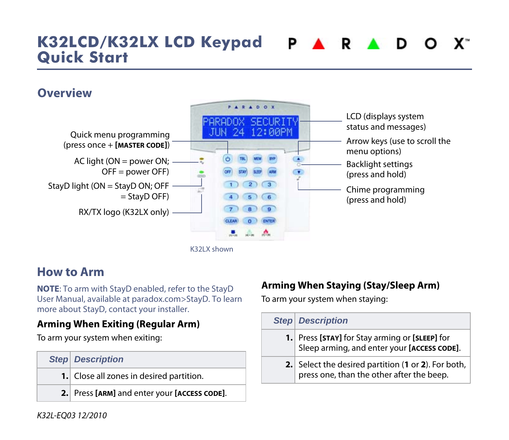#### **K32LCD/K32LX LCD Keypad PARADO**  $\mathbf{X}^*$ **Quick Start**

## **Overview**



#### K32LX shown

#### **How to Arm**

**NOTE**: To arm with StayD enabled, refer to the StayD User Manual, available at paradox.com>StayD. To learn more about StayD, contact your installer.

#### **Arming When Exiting (Regular Arm)**

To arm your system when exiting:

| <b>Step Description</b>                      |
|----------------------------------------------|
| 1. Close all zones in desired partition.     |
| 2. Press [ARM] and enter your [ACCESS CODE]. |

#### **Arming When Staying (Stay/Sleep Arm)**

To arm your system when staying:

| <b>Step Description</b>                                                                          |
|--------------------------------------------------------------------------------------------------|
| 1. Press [STAY] for Stay arming or [SLEEP] for<br>Sleep arming, and enter your [ACCESS CODE].    |
| 2. Select the desired partition (1 or 2). For both,<br>press one, than the other after the beep. |